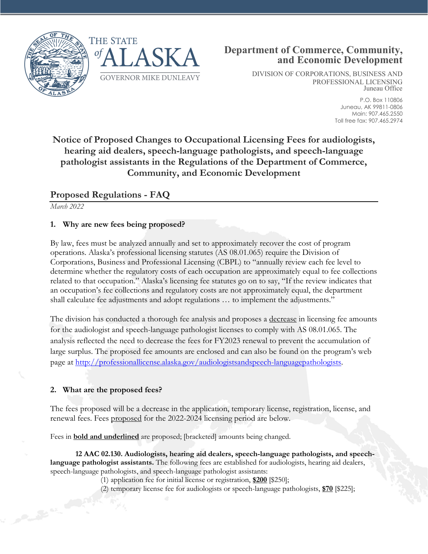



DIVISION OF CORPORATIONS, BUSINESS AND PROFESSIONAL LICENSING Juneau Office

> P.O. Box 110806 Juneau, AK 99811-0806 Main: 907.465.2550 Toll free fax: 907.465.2974

# **Notice of Proposed Changes to Occupational Licensing Fees for audiologists, hearing aid dealers, speech-language pathologists, and speech-language pathologist assistants in the Regulations of the Department of Commerce, Community, and Economic Development**

## **Proposed Regulations - FAQ**

*March 2022*

## **1. Why are new fees being proposed?**

By law, fees must be analyzed annually and set to approximately recover the cost of program operations. Alaska's professional licensing statutes (AS 08.01.065) require the Division of Corporations, Business and Professional Licensing (CBPL) to "annually review each fee level to determine whether the regulatory costs of each occupation are approximately equal to fee collections related to that occupation." Alaska's licensing fee statutes go on to say, "If the review indicates that an occupation's fee collections and regulatory costs are not approximately equal, the department shall calculate fee adjustments and adopt regulations … to implement the adjustments."

The division has conducted a thorough fee analysis and proposes a decrease in licensing fee amounts for the audiologist and speech-language pathologist licenses to comply with AS 08.01.065. The analysis reflected the need to decrease the fees for FY2023 renewal to prevent the accumulation of large surplus. The proposed fee amounts are enclosed and can also be found on the program's web page at [http://professionallicense.alaska.gov/audiologistsandspeech-languagepathologists.](http://professionallicense.alaska.gov/audiologistsandspeech-languagepathologists)

### **2. What are the proposed fees?**

The fees proposed will be a decrease in the application, temporary license, registration, license, and renewal fees. Fees proposed for the 2022-2024 licensing period are below.

Fees in **bold and underlined** are proposed; [bracketed] amounts being changed.

**12 AAC 02.130. Audiologists, hearing aid dealers, speech-language pathologists, and speechlanguage pathologist assistants.** The following fees are established for audiologists, hearing aid dealers, speech-language pathologists, and speech-language pathologist assistants:

(1) application fee for initial license or registration, **\$200** [\$250];

(2) temporary license fee for audiologists or speech-language pathologists, **\$70** [\$225];